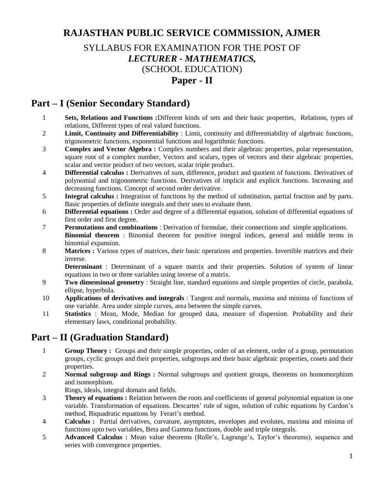# **RAJASTHAN PUBLIC SERVICE COMMISSION, AJMER**

## SYLLABUS FOR EXAMINATION FOR THE POST OF *LECTURER - MATHEMATICS,*  (SCHOOL EDUCATION) **Paper - II**

### **Part – I (Senior Secondary Standard)**

- 1 **Sets, Relations and Functions :**Different kinds of sets and their basic properties, Relations, types of relations, Different types of real valued functions.
- 2 **Limit, Continuity and Differentiability** : Limit, continuity and differentiability of algebraic functions, trigonometric functions, exponential functions and logarithmic functions.
- 3 **Complex and Vector Algebra :** Complex numbers and their algebraic properties, polar representation, square root of a complex number, Vectors and scalars, types of vectors and their algebraic properties, scalar and vector product of two vectors, scalar triple product.
- 4 **Differential calculus :** Derivatives of sum, difference, product and quotient of functions. Derivatives of polynomial and trigonometric functions. Derivatives of implicit and explicit functions. Increasing and decreasing functions. Concept of second order derivative.
- 5 **Integral calculus :** Integration of functions by the method of substitution, partial fraction and by parts. Basic properties of definite integrals and their uses to evaluate them.
- 6 **Differential equations :** Order and degree of a differential equation, solution of differential equations of first order and first degree.
- 7 **Permutations and combinations** : Derivation of formulae, their connections and simple applications. **Binomial theorem** : Binomial theorem for positive integral indices, general and middle terms in binomial expansion.
- 8 **Matrices :** Various types of matrices, their basic operations and properties. Invertible matrices and their inverse.

**Determinant** : Determinant of a square matrix and their properties. Solution of system of linear equations in two or three variables using inverse of a matrix.

- 9 **Two dimensional geometry** : Straight line, standard equations and simple properties of circle, parabola, ellipse, hyperbola.
- 10 **Applications of derivatives and integrals** : Tangent and normals, maxima and minima of functions of one variable. Area under simple curves, area between the simple curves.
- 11 **Statistics** : Mean, Mode, Median for grouped data, measure of dispersion. Probability and their elementary laws, conditional probability.

# **Part – II (Graduation Standard)**

- 1 **Group Theory :** Groups and their simple properties, order of an element, order of a group, permutation groups, cyclic groups and their properties, subgroups and their basic algebraic properties, cosets and their properties.
- 2 **Normal subgroup and Rings :** Normal subgroups and quotient groups, theorems on homomorphism and isomorphism.

Rings, ideals, integral domain and fields.

- 3 **Theory of equations :** Relation between the roots and coefficients of general polynomial equation in one variable. Transformation of equations. Descartes' rule of signs, solution of cubic equations by Cardon's method, Biquadratic equations by Ferari's method.
- 4 **Calculus :** Partial derivatives, curvature, asymptotes, envelopes and evolutes, maxima and minima of functions upto two variables, Beta and Gamma functions, double and triple integrals.
- 5 **Advanced Calculus :** Mean value theorems (Rolle's, Lagrange's, Taylor's theorems), sequence and series with convergence properties.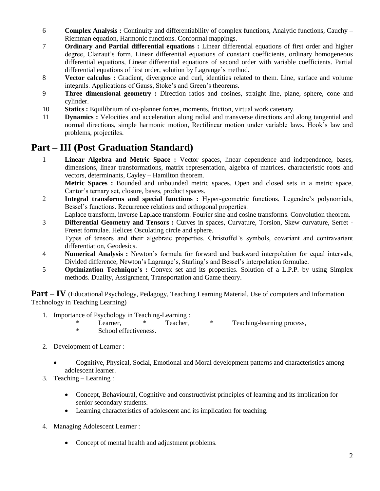- 6 **Complex Analysis :** Continuity and differentiability of complex functions, Analytic functions, Cauchy Riemman equation, Harmonic functions. Conformal mappings.
- 7 **Ordinary and Partial differential equations :** Linear differential equations of first order and higher degree, Clairaut's form, Linear differential equations of constant coefficients, ordinary homogeneous differential equations, Linear differential equations of second order with variable coefficients. Partial differential equations of first order, solution by Lagrange's method.
- 8 **Vector calculus :** Gradient, divergence and curl, identities related to them. Line, surface and volume integrals. Applications of Gauss, Stoke's and Green's theorems.
- 9 **Three dimensional geometry :** Direction ratios and cosines, straight line, plane, sphere, cone and cylinder.
- 10 **Statics :** Equilibrium of co-planner forces, moments, friction, virtual work catenary.
- 11 **Dynamics :** Velocities and acceleration along radial and transverse directions and along tangential and normal directions, simple harmonic motion, Rectilinear motion under variable laws, Hook's law and problems, projectiles.

## **Part – III (Post Graduation Standard)**

1 **Linear Algebra and Metric Space :** Vector spaces, linear dependence and independence, bases, dimensions, linear transformations, matrix representation, algebra of matrices, characteristic roots and vectors, determinants, Cayley – Hamilton theorem.

**Metric Spaces :** Bounded and unbounded metric spaces. Open and closed sets in a metric space, Cantor's ternary set, closure, bases, product spaces.

- 2 **Integral transforms and special functions :** Hyper-geometric functions, Legendre's polynomials, Bessel's functions. Recurrence relations and orthogonal properties.
- Laplace transform, inverse Laplace transform. Fourier sine and cosine transforms. Convolution theorem.
- 3 **Differential Geometry and Tensors :** Curves in spaces, Curvature, Torsion, Skew curvature, Serret Frenet formulae. Helices Osculating circle and sphere. Types of tensors and their algebraic properties. Christoffel's symbols, covariant and contravariant

differentiation, Geodesics.

- 4 **Numerical Analysis :** Newton's formula for forward and backward interpolation for equal intervals, Divided difference, Newton's Lagrange's, Starling's and Bessel's interpolation formulae.
- 5 **Optimization Technique's :** Convex set and its properties. Solution of a L.P.P. by using Simplex methods. Duality, Assignment, Transportation and Game theory.

**Part – <b>IV** (Educational Psychology, Pedagogy, Teaching Learning Material, Use of computers and Information Technology in Teaching Learning)

- 1. Importance of Psychology in Teaching-Learning :
	- \* Learner, \* Teacher, \* Teaching-learning process,<br>
	\* School offectiveness School effectiveness.
- 2. Development of Learner :
	- Cognitive, Physical, Social, Emotional and Moral development patterns and characteristics among adolescent learner.
- 3. Teaching Learning :
	- Concept, Behavioural, Cognitive and constructivist principles of learning and its implication for senior secondary students.
	- Learning characteristics of adolescent and its implication for teaching.
- 4. Managing Adolescent Learner :
	- Concept of mental health and adjustment problems.